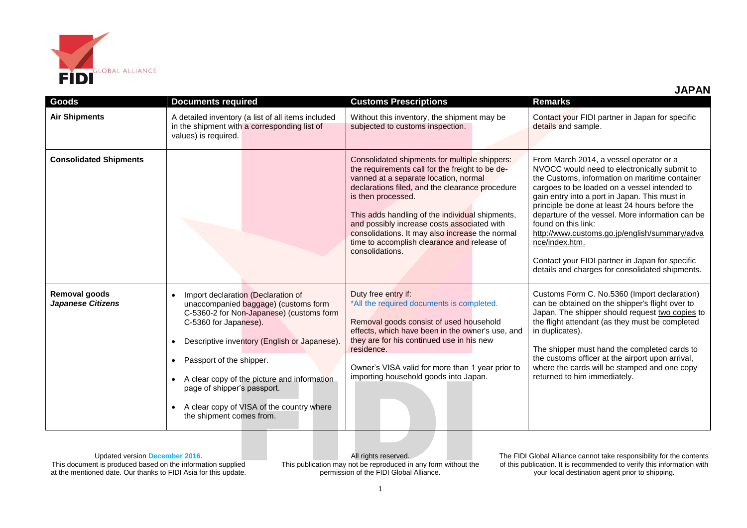

| <b>JAPAN</b> |  |  |
|--------------|--|--|
|              |  |  |

| Goods                                     | <b>Documents required</b>                                                                                                                                                                                                                                                                                                                                                                                    | <b>Customs Prescriptions</b>                                                                                                                                                                                                                                                                                                                                                                                                              | <b>Remarks</b>                                                                                                                                                                                                                                                                                                                                                                                                                                                                                                                                   |
|-------------------------------------------|--------------------------------------------------------------------------------------------------------------------------------------------------------------------------------------------------------------------------------------------------------------------------------------------------------------------------------------------------------------------------------------------------------------|-------------------------------------------------------------------------------------------------------------------------------------------------------------------------------------------------------------------------------------------------------------------------------------------------------------------------------------------------------------------------------------------------------------------------------------------|--------------------------------------------------------------------------------------------------------------------------------------------------------------------------------------------------------------------------------------------------------------------------------------------------------------------------------------------------------------------------------------------------------------------------------------------------------------------------------------------------------------------------------------------------|
| <b>Air Shipments</b>                      | A detailed inventory (a list of all items included<br>in the shipment with a corresponding list of<br>values) is required.                                                                                                                                                                                                                                                                                   | Without this inventory, the shipment may be<br>subjected to customs inspection.                                                                                                                                                                                                                                                                                                                                                           | Contact your FIDI partner in Japan for specific<br>details and sample.                                                                                                                                                                                                                                                                                                                                                                                                                                                                           |
| <b>Consolidated Shipments</b>             |                                                                                                                                                                                                                                                                                                                                                                                                              | Consolidated shipments for multiple shippers:<br>the requirements call for the freight to be de-<br>vanned at a separate location, normal<br>declarations filed, and the clearance procedure<br>is then processed.<br>This adds handling of the individual shipments,<br>and possibly increase costs associated with<br>consolidations. It may also increase the normal<br>time to accomplish clearance and release of<br>consolidations. | From March 2014, a vessel operator or a<br>NVOCC would need to electronically submit to<br>the Customs, information on maritime container<br>cargoes to be loaded on a vessel intended to<br>gain entry into a port in Japan. This must in<br>principle be done at least 24 hours before the<br>departure of the vessel. More information can be<br>found on this link:<br>http://www.customs.go.jp/english/summary/adva<br>nce/index.htm.<br>Contact your FIDI partner in Japan for specific<br>details and charges for consolidated shipments. |
| Removal goods<br><b>Japanese Citizens</b> | Import declaration (Declaration of<br>unaccompanied baggage) (customs form<br>C-5360-2 for Non-Japanese) (customs form<br>C-5360 for Japanese).<br>Descriptive inventory (English or Japanese).<br>$\bullet$<br>Passport of the shipper.<br>A clear copy of the picture and information<br>page of shipper's passport.<br>A clear copy of VISA of the country where<br>$\bullet$<br>the shipment comes from. | Duty free entry if:<br>*All the required documents is completed.<br>Removal goods consist of used household<br>effects, which have been in the owner's use, and<br>they are for his continued use in his new<br>residence.<br>Owner's VISA valid for more than 1 year prior to<br>importing household goods into Japan.                                                                                                                   | Customs Form C. No.5360 (Import declaration)<br>can be obtained on the shipper's flight over to<br>Japan. The shipper should request two copies to<br>the flight attendant (as they must be completed<br>in duplicates).<br>The shipper must hand the completed cards to<br>the customs officer at the airport upon arrival,<br>where the cards will be stamped and one copy<br>returned to him immediately.                                                                                                                                     |

This document is produced based on the information supplied at the mentioned date. Our thanks to FIDI Asia for this update.

All rights reserved. This publication may not be reproduced in any form without the permission of the FIDI Global Alliance.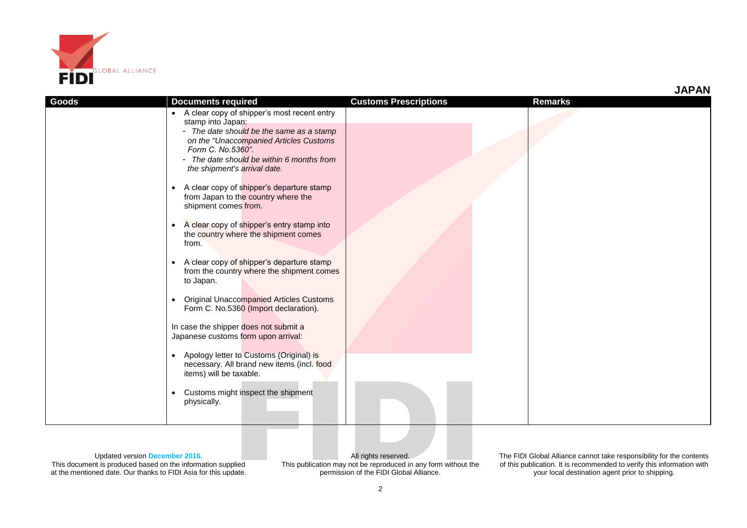

| Goods | <b>Documents required</b>                                                                                                                                                            | <b>Customs Prescriptions</b> | <b>Remarks</b> |
|-------|--------------------------------------------------------------------------------------------------------------------------------------------------------------------------------------|------------------------------|----------------|
|       | • A clear copy of shipper's most recent entry<br>stamp into Japan:                                                                                                                   |                              |                |
|       | - The date should be the same as a stamp<br>on the "Unaccompanied Articles Customs<br>Form C. No.5360".<br>- The date should be within 6 months from<br>the shipment's arrival date. |                              |                |
|       | A clear copy of shipper's departure stamp<br>$\bullet$<br>from Japan to the country where the<br>shipment comes from.                                                                |                              |                |
|       | A clear copy of shipper's entry stamp into<br>$\bullet$<br>the country where the shipment comes<br>from.                                                                             |                              |                |
|       | A clear copy of shipper's departure stamp<br>$\bullet$<br>from the country where the shipment comes<br>to Japan.                                                                     |                              |                |
|       | <b>Original Unaccompanied Articles Customs</b><br>Form C. No.5360 (Import declaration).                                                                                              |                              |                |
|       | In case the shipper does not submit a<br>Japanese customs form upon arrival:                                                                                                         |                              |                |
|       | Apology letter to Customs (Original) is<br>$\bullet$<br>necessary. All brand new items (incl. food<br>items) will be taxable.                                                        |                              |                |
|       | Customs might inspect the shipment<br>physically.                                                                                                                                    |                              |                |

This document is produced based on the information supplied at the mentioned date. Our thanks to FIDI Asia for this update.

All rights reserved. This publication may not be reproduced in any form without the permission of the FIDI Global Alliance.

The FIDI Global Alliance cannot take responsibility for the contents of this publication. It is recommended to verify this information with your local destination agent prior to shipping.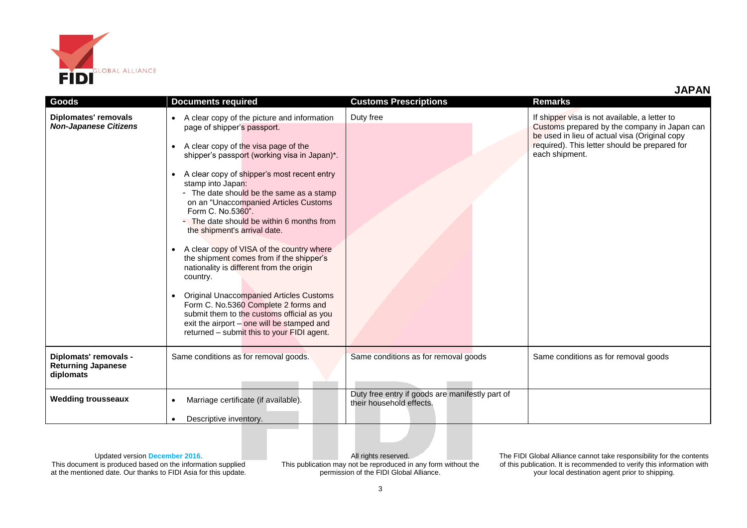

| Goods                                                           | <b>Documents required</b>                                                                                                                                                                                                                                                                                                                                                                                                                                                                                                                                                                                                                                                                                                                                                                                                                                              | <b>Customs Prescriptions</b>                                                | <b>Remarks</b>                                                                                                                                                                                                    |
|-----------------------------------------------------------------|------------------------------------------------------------------------------------------------------------------------------------------------------------------------------------------------------------------------------------------------------------------------------------------------------------------------------------------------------------------------------------------------------------------------------------------------------------------------------------------------------------------------------------------------------------------------------------------------------------------------------------------------------------------------------------------------------------------------------------------------------------------------------------------------------------------------------------------------------------------------|-----------------------------------------------------------------------------|-------------------------------------------------------------------------------------------------------------------------------------------------------------------------------------------------------------------|
| Diplomates' removals<br><b>Non-Japanese Citizens</b>            | A clear copy of the picture and information<br>$\bullet$<br>page of shipper's passport.<br>A clear copy of the visa page of the<br>$\bullet$<br>shipper's passport (working visa in Japan)*.<br>A clear copy of shipper's most recent entry<br>$\bullet$<br>stamp into Japan:<br>- The date should be the same as a stamp<br>on an "Unaccompanied Articles Customs<br>Form C. No.5360".<br>- The date should be within 6 months from<br>the shipment's arrival date.<br>A clear copy of VISA of the country where<br>the shipment comes from if the shipper's<br>nationality is different from the origin<br>country.<br><b>Original Unaccompanied Articles Customs</b><br>$\bullet$<br>Form C. No.5360 Complete 2 forms and<br>submit them to the customs official as you<br>exit the airport - one will be stamped and<br>returned - submit this to your FIDI agent. | Duty free                                                                   | If shipper visa is not available, a letter to<br>Customs prepared by the company in Japan can<br>be used in lieu of actual visa (Original copy<br>required). This letter should be prepared for<br>each shipment. |
| Diplomats' removals -<br><b>Returning Japanese</b><br>diplomats | Same conditions as for removal goods.                                                                                                                                                                                                                                                                                                                                                                                                                                                                                                                                                                                                                                                                                                                                                                                                                                  | Same conditions as for removal goods                                        | Same conditions as for removal goods                                                                                                                                                                              |
| <b>Wedding trousseaux</b>                                       | Marriage certificate (if available).<br>$\bullet$                                                                                                                                                                                                                                                                                                                                                                                                                                                                                                                                                                                                                                                                                                                                                                                                                      | Duty free entry if goods are manifestly part of<br>their household effects. |                                                                                                                                                                                                                   |
|                                                                 | Descriptive inventory.<br>$\bullet$                                                                                                                                                                                                                                                                                                                                                                                                                                                                                                                                                                                                                                                                                                                                                                                                                                    |                                                                             |                                                                                                                                                                                                                   |

This document is produced based on the information supplied at the mentioned date. Our thanks to FIDI Asia for this update.

All rights reserved. This publication may not be reproduced in any form without the permission of the FIDI Global Alliance.

The FIDI Global Alliance cannot take responsibility for the contents of this publication. It is recommended to verify this information with your local destination agent prior to shipping.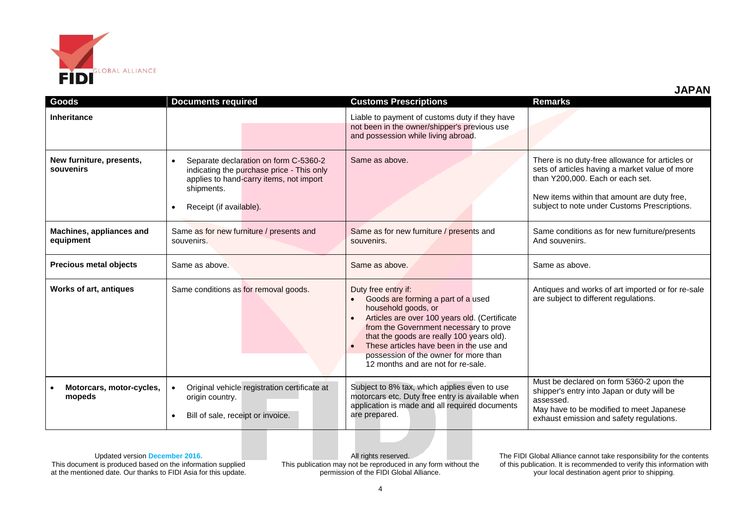

| Goods                                 | <b>Documents required</b>                                                                                                                                                           | <b>Customs Prescriptions</b>                                                                                                                                                                                                                                                                                                                       | <b>Remarks</b>                                                                                                                                                                                                                       |
|---------------------------------------|-------------------------------------------------------------------------------------------------------------------------------------------------------------------------------------|----------------------------------------------------------------------------------------------------------------------------------------------------------------------------------------------------------------------------------------------------------------------------------------------------------------------------------------------------|--------------------------------------------------------------------------------------------------------------------------------------------------------------------------------------------------------------------------------------|
| <b>Inheritance</b>                    |                                                                                                                                                                                     | Liable to payment of customs duty if they have<br>not been in the owner/shipper's previous use<br>and possession while living abroad.                                                                                                                                                                                                              |                                                                                                                                                                                                                                      |
| New furniture, presents,<br>souvenirs | Separate declaration on form C-5360-2<br>$\bullet$<br>indicating the purchase price - This only<br>applies to hand-carry items, not import<br>shipments.<br>Receipt (if available). | Same as above.                                                                                                                                                                                                                                                                                                                                     | There is no duty-free allowance for articles or<br>sets of articles having a market value of more<br>than Y200,000. Each or each set.<br>New items within that amount are duty free,<br>subject to note under Customs Prescriptions. |
| Machines, appliances and<br>equipment | Same as for new furniture / presents and<br>souvenirs.                                                                                                                              | Same as for new furniture / presents and<br>souvenirs.                                                                                                                                                                                                                                                                                             | Same conditions as for new furniture/presents<br>And souvenirs.                                                                                                                                                                      |
| <b>Precious metal objects</b>         | Same as above.                                                                                                                                                                      | Same as above.                                                                                                                                                                                                                                                                                                                                     | Same as above.                                                                                                                                                                                                                       |
| <b>Works of art, antiques</b>         | Same conditions as for removal goods.                                                                                                                                               | Duty free entry if:<br>Goods are forming a part of a used<br>household goods, or<br>Articles are over 100 years old. (Certificate<br>from the Government necessary to prove<br>that the goods are really 100 years old).<br>These articles have been in the use and<br>possession of the owner for more than<br>12 months and are not for re-sale. | Antiques and works of art imported or for re-sale<br>are subject to different regulations.                                                                                                                                           |
| Motorcars, motor-cycles,<br>mopeds    | Original vehicle registration certificate at<br>origin country.<br>Bill of sale, receipt or invoice.                                                                                | Subject to 8% tax, which applies even to use<br>motorcars etc. Duty free entry is available when<br>application is made and all required documents<br>are prepared.                                                                                                                                                                                | Must be declared on form 5360-2 upon the<br>shipper's entry into Japan or duty will be<br>assessed.<br>May have to be modified to meet Japanese<br>exhaust emission and safety regulations.                                          |

This document is produced based on the information supplied at the mentioned date. Our thanks to FIDI Asia for this update.

All rights reserved. This publication may not be reproduced in any form without the permission of the FIDI Global Alliance.

The FIDI Global Alliance cannot take responsibility for the contents of this publication. It is recommended to verify this information with your local destination agent prior to shipping.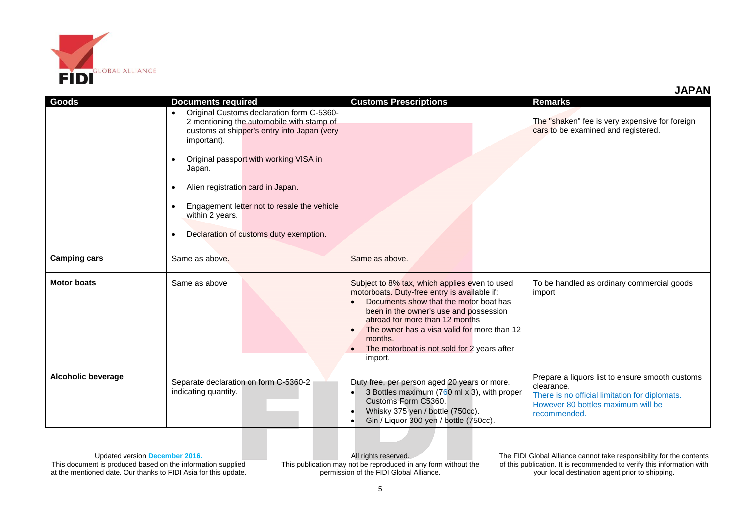

**JAPAN**

| <b>Goods</b>              | <b>Documents required</b>                                                                                                                                                                                                                                                                                                                                                                                                  | <b>Customs Prescriptions</b>                                                                                                                                                                                                                                                                                                                                      | <b>Remarks</b>                                                                                                                                                        |
|---------------------------|----------------------------------------------------------------------------------------------------------------------------------------------------------------------------------------------------------------------------------------------------------------------------------------------------------------------------------------------------------------------------------------------------------------------------|-------------------------------------------------------------------------------------------------------------------------------------------------------------------------------------------------------------------------------------------------------------------------------------------------------------------------------------------------------------------|-----------------------------------------------------------------------------------------------------------------------------------------------------------------------|
|                           | Original Customs declaration form C-5360-<br>$\bullet$<br>2 mentioning the automobile with stamp of<br>customs at shipper's entry into Japan (very<br>important).<br>Original passport with working VISA in<br>$\bullet$<br>Japan.<br>Alien registration card in Japan.<br>$\bullet$<br>Engagement letter not to resale the vehicle<br>$\bullet$<br>within 2 years.<br>Declaration of customs duty exemption.<br>$\bullet$ |                                                                                                                                                                                                                                                                                                                                                                   | The "shaken" fee is very expensive for foreign<br>cars to be examined and registered.                                                                                 |
| <b>Camping cars</b>       | Same as above.                                                                                                                                                                                                                                                                                                                                                                                                             | Same as above.                                                                                                                                                                                                                                                                                                                                                    |                                                                                                                                                                       |
| <b>Motor boats</b>        | Same as above                                                                                                                                                                                                                                                                                                                                                                                                              | Subject to 8% tax, which applies even to used<br>motorboats. Duty-free entry is available if:<br>Documents show that the motor boat has<br>been in the owner's use and possession<br>abroad for more than 12 months<br>The owner has a visa valid for more than 12<br>$\bullet$<br>months.<br>The motorboat is not sold for 2 years after<br>$\bullet$<br>import. | To be handled as ordinary commercial goods<br>import                                                                                                                  |
| <b>Alcoholic beverage</b> | Separate declaration on form C-5360-2<br>indicating quantity.                                                                                                                                                                                                                                                                                                                                                              | Duty free, per person aged 20 years or more.<br>3 Bottles maximum (760 ml x 3), with proper<br>$\bullet$<br>Customs Form C5360.<br>Whisky 375 yen / bottle (750cc).<br>$\bullet$<br>Gin / Liquor 300 yen / bottle (750cc).<br>$\bullet$                                                                                                                           | Prepare a liquors list to ensure smooth customs<br>clearance.<br>There is no official limitation for diplomats.<br>However 80 bottles maximum will be<br>recommended. |

Updated version **December 2016.**

This document is produced based on the information supplied at the mentioned date. Our thanks to FIDI Asia for this update.

All rights reserved. This publication may not be reproduced in any form without the permission of the FIDI Global Alliance.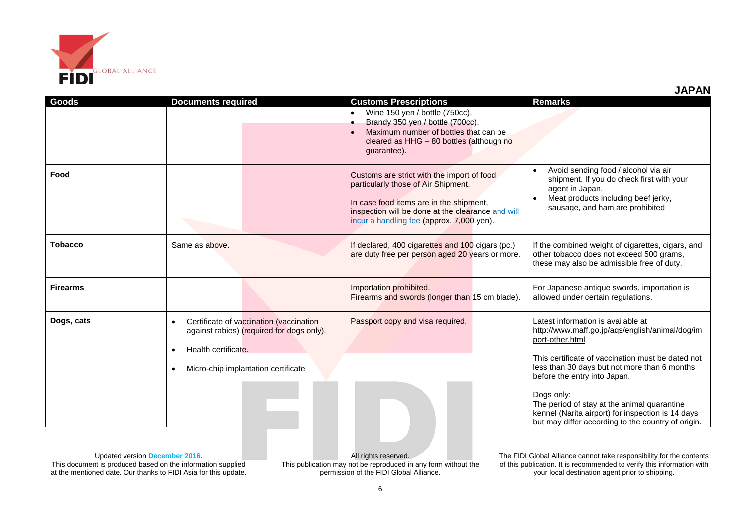

|                 |                                                                                                                                                         | Wine 150 yen / bottle (750cc).<br>$\bullet$<br>Brandy 350 yen / bottle (700cc).<br>$\bullet$<br>Maximum number of bottles that can be<br>$\bullet$<br>cleared as HHG - 80 bottles (although no<br>guarantee).                  |                                                                                                                                                                                                                                                                                                                                                                 |
|-----------------|---------------------------------------------------------------------------------------------------------------------------------------------------------|--------------------------------------------------------------------------------------------------------------------------------------------------------------------------------------------------------------------------------|-----------------------------------------------------------------------------------------------------------------------------------------------------------------------------------------------------------------------------------------------------------------------------------------------------------------------------------------------------------------|
| Food            |                                                                                                                                                         | Customs are strict with the import of food<br>particularly those of Air Shipment.<br>In case food items are in the shipment,<br>inspection will be done at the clearance and will<br>incur a handling fee (approx. 7,000 yen). | Avoid sending food / alcohol via air<br>shipment. If you do check first with your<br>agent in Japan.<br>Meat products including beef jerky,<br>sausage, and ham are prohibited                                                                                                                                                                                  |
| Tobacco         | Same as above.                                                                                                                                          | If declared, 400 cigarettes and 100 cigars (pc.)<br>are duty free per person aged 20 years or more.                                                                                                                            | If the combined weight of cigarettes, cigars, and<br>other tobacco does not exceed 500 grams,<br>these may also be admissible free of duty.                                                                                                                                                                                                                     |
| <b>Firearms</b> |                                                                                                                                                         | Importation prohibited.<br>Firearms and swords (longer than 15 cm blade).                                                                                                                                                      | For Japanese antique swords, importation is<br>allowed under certain regulations.                                                                                                                                                                                                                                                                               |
| Dogs, cats      | Certificate of vaccination (vaccination<br>against rabies) (required for dogs only).<br>Health certificate.<br>٠<br>Micro-chip implantation certificate | Passport copy and visa required.                                                                                                                                                                                               | Latest information is available at<br>http://www.maff.go.jp/aqs/english/animal/dog/im<br>port-other.html<br>This certificate of vaccination must be dated not<br>less than 30 days but not more than 6 months<br>before the entry into Japan.<br>Dogs only:<br>The period of stay at the animal quarantine<br>kennel (Narita airport) for inspection is 14 days |

**Goods Documents required Customs Prescriptions Remarks**

Updated version **December 2016.** This document is produced based on the information supplied at the mentioned date. Our thanks to FIDI Asia for this update.

All rights reserved. This publication may not be reproduced in any form without the permission of the FIDI Global Alliance.

The FIDI Global Alliance cannot take responsibility for the contents of this publication. It is recommended to verify this information with your local destination agent prior to shipping.

but may differ according to the country of origin.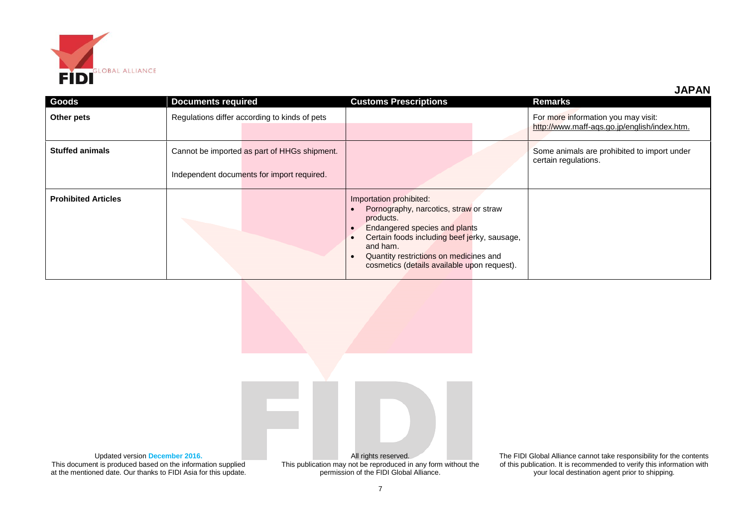

**JAPAN**

| <b>Goods</b>               | <b>Documents required</b>                     | <b>Customs Prescriptions</b>                                                                                                                                                                                                                                         | Remarks                                                                             |
|----------------------------|-----------------------------------------------|----------------------------------------------------------------------------------------------------------------------------------------------------------------------------------------------------------------------------------------------------------------------|-------------------------------------------------------------------------------------|
| Other pets                 | Regulations differ according to kinds of pets |                                                                                                                                                                                                                                                                      | For more information you may visit:<br>http://www.maff-aqs.go.jp/english/index.htm. |
| <b>Stuffed animals</b>     | Cannot be imported as part of HHGs shipment.  |                                                                                                                                                                                                                                                                      | Some animals are prohibited to import under<br>certain regulations.                 |
|                            | Independent documents for import required.    |                                                                                                                                                                                                                                                                      |                                                                                     |
| <b>Prohibited Articles</b> |                                               | Importation prohibited:<br>Pornography, narcotics, straw or straw<br>products.<br>Endangered species and plants<br>Certain foods including beef jerky, sausage,<br>and ham.<br>Quantity restrictions on medicines and<br>cosmetics (details available upon request). |                                                                                     |